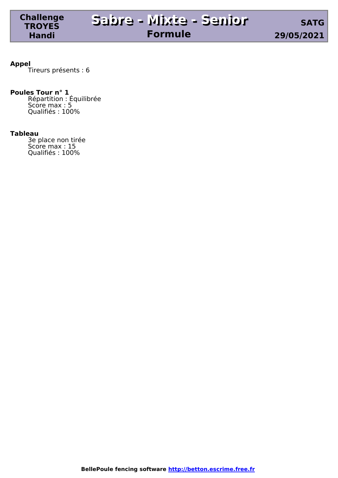**Appel** Tireurs présents : 6

#### **Poules Tour n° 1**

**Challenge TROYES Handi**

> Répartition : Équilibrée Score max : 5 Qualifiés : 100%

#### **Tableau**

3e place non tirée Score max : 15 Qualifiés : 100%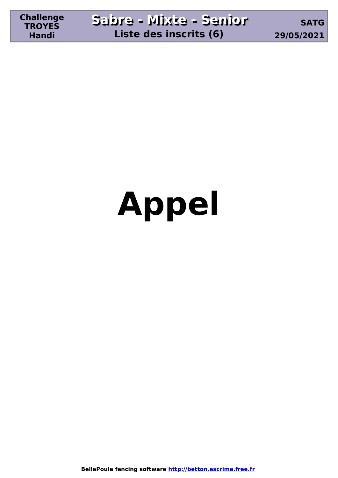# **Appel**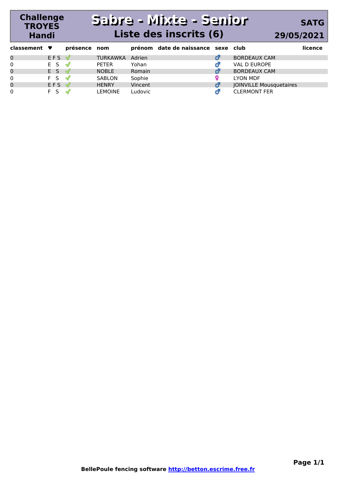### **Sabre - Mixte - Senior Sabre - Mixte - Senior Liste des inscrits (6)**

**Challenge TROYES Handi**

### **SATG 29/05/2021**

| classement $\blacktriangledown$ |                      | présence nom             |                 |               | prénom date de naissance sexe club |                                | licence |
|---------------------------------|----------------------|--------------------------|-----------------|---------------|------------------------------------|--------------------------------|---------|
| 0                               | EFS √                |                          | <b>TURKAWKA</b> | Adrien        |                                    | <b>BORDEAUX CAM</b>            |         |
| $\Omega$                        | $E S \n\mathcal{Q}$  |                          | <b>PETER</b>    | Yohan         |                                    | VAL D EUROPE                   |         |
| $\mathbf 0$                     | F <sub>S</sub>       | $\overline{\mathcal{M}}$ | <b>NOBLE</b>    | <b>Romain</b> |                                    | <b>BORDEAUX CAM</b>            |         |
| $\Omega$                        | F S √                |                          | SABLON          | Sophie        |                                    | <b>LYON MDF</b>                |         |
| $\mathbf 0$                     | $EFS \; \mathcal{Q}$ |                          | <b>HENRY</b>    | Vincent       |                                    | <b>JOINVILLE Mousquetaires</b> |         |
| $\Omega$                        | F <sub>S</sub>       | $\mathcal{M}$            | <b>LEMOINE</b>  | Ludovic       |                                    | <b>CLERMONT FER</b>            |         |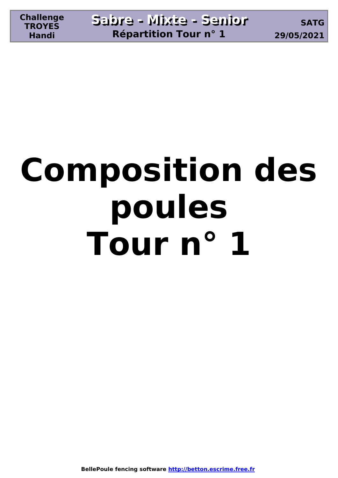## **Composition des poules Tour n° 1**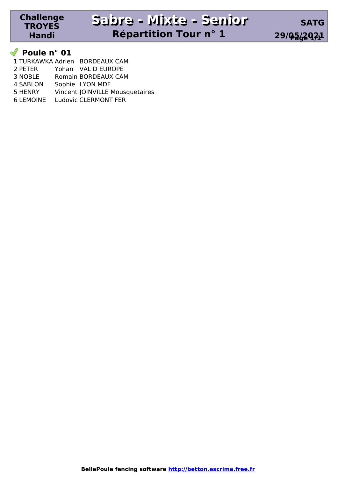#### **Poule n° 01**

**Challenge TROYES Handi**

|                  | 1 TURKAWKA Adrien BORDEAUX CAM  |
|------------------|---------------------------------|
| 2 PETER          | Yohan VAL D EUROPE              |
| 3 NOBLE          | Romain BORDEAUX CAM             |
| <b>4 SABLON</b>  | Sophie LYON MDF                 |
| 5 HENRY          | Vincent JOINVILLE Mousquetaires |
| <b>6 LEMOINE</b> | <b>Ludovic CLERMONT FER</b>     |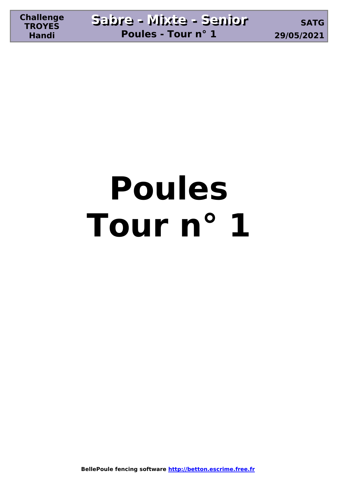## **Poules Tour n° 1**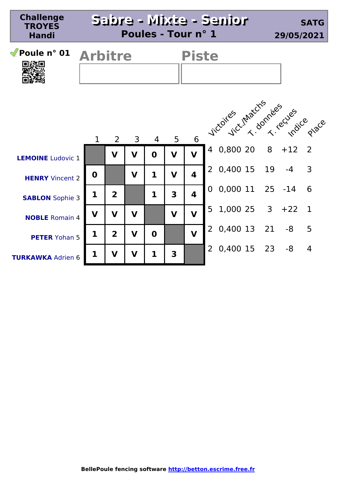| <b>Challenge</b><br><b>TROYES</b><br><b>Handi</b> |                |                | Poules - Tour n° 1 |                |                         |                         | Sabre - Mixte - Senior            | <b>SATG</b><br>29/05/2021               |
|---------------------------------------------------|----------------|----------------|--------------------|----------------|-------------------------|-------------------------|-----------------------------------|-----------------------------------------|
| Poule $n^{\circ}$ 01<br>口翁回                       | <b>Arbitre</b> |                |                    |                | <b>Piste</b>            |                         |                                   |                                         |
|                                                   | $\mathbf{1}$   | $\overline{2}$ | 3                  | $\overline{4}$ | 5                       | 6                       | Victories inhatchs lees ves place |                                         |
| <b>LEMOINE</b> Ludovic 1                          |                | $\mathbf v$    | $\mathbf v$        | $\mathbf 0$    | $\mathbf V$             | $\overline{\mathbf{V}}$ | 4 0,800 20                        | $8 + 12$<br>$\overline{2}$              |
| <b>HENRY</b> Vincent 2                            | $\mathbf 0$    |                | $\mathbf v$        | $\mathbf{1}$   | $\mathbf V$             | $\overline{\mathbf{A}}$ | 0,400 15<br>19<br>2               | 3<br>$-4$                               |
| <b>SABLON</b> Sophie 3                            | $\mathbf{1}$   | $\overline{2}$ |                    | 1              | $\overline{\mathbf{3}}$ | $\overline{\mathbf{4}}$ | $0,000$ 11<br>$\Omega$            | $25 - 14$<br>6                          |
| <b>NOBLE</b> Romain 4                             | $\mathbf v$    | $\mathbf V$    | $\mathbf v$        |                | $\mathbf V$             | $\overline{\mathsf{v}}$ | 1,000 25<br>5                     | 3 <sup>7</sup><br>$+22$<br>$\mathbf{1}$ |
| <b>PETER</b> Yohan 5                              | 1              | $\overline{2}$ | $\mathbf v$        | $\mathbf 0$    |                         | $\overline{\mathbf{V}}$ | 0,400 13<br>21<br>2               | 5<br>-8                                 |
| <b>TURKAWKA Adrien 6</b>                          | 1              | V              | V                  | 1              | 3                       |                         | 0,400 15<br>2                     | 23<br>-8<br>$\overline{4}$              |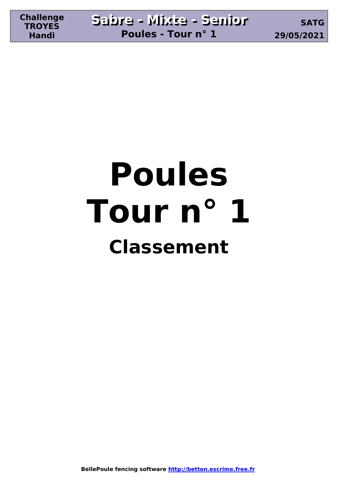### **Poules Tour n° 1 Classement**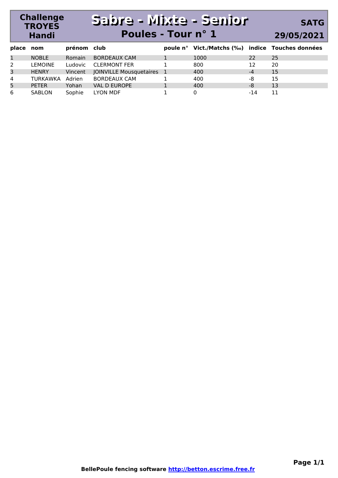#### **Challenge TROYES Handi Sabre - Mixte - Senior Sabre - Mixte - Senior Poules - Tour n° 1 SATG 29/05/2021**

| place nom |                | prénom club |                           | poule n° Vict./Matchs (‰) indice Touches données |      |     |
|-----------|----------------|-------------|---------------------------|--------------------------------------------------|------|-----|
| 1         | <b>NOBLE</b>   | Romain      | <b>BORDEAUX CAM</b>       | 1000                                             | 22   | -25 |
| 2         | <b>LEMOINE</b> | Ludovic     | <b>CLERMONT FER</b>       | 800                                              |      | 20  |
| 3         | <b>HENRY</b>   | Vincent     | JOINVILLE Mousquetaires 1 | 400                                              | $-4$ | 15  |
| 4         | TURKAWKA       | Adrien      | <b>BORDEAUX CAM</b>       | 400                                              | -8   | 15  |
| 5         | <b>PETER</b>   | Yohan       | VAL D EUROPE              | 400                                              | -8   | 13  |
| 6         | SABLON         | Sophie      | LYON MDF                  |                                                  | -14  | 11  |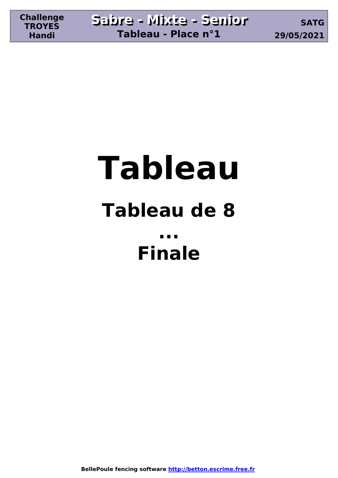### **Tableau Tableau de 8 ... Finale**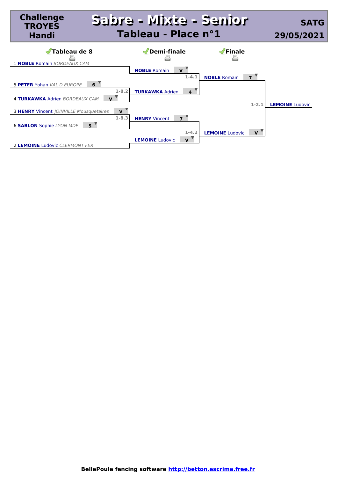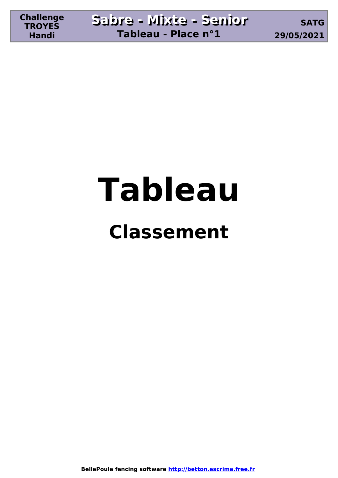# **Tableau**

### **Classement**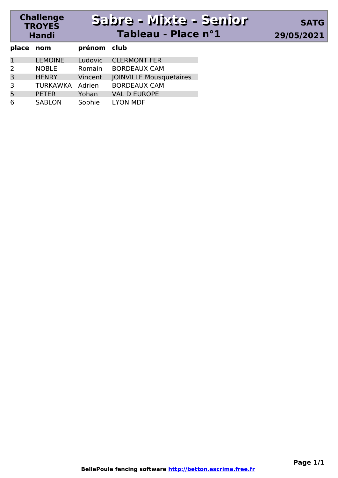#### **Challenge TROYES Sabre - Mixte - Senior Sabre - Mixte - Senior Tableau - Place n°1 29/05/2021**

| place nom      |                 | prénom club |                                |
|----------------|-----------------|-------------|--------------------------------|
| 1              | <b>LEMOINE</b>  | Ludovic     | <b>CLERMONT FER</b>            |
| $\mathcal{L}$  | <b>NOBLE</b>    | Romain      | <b>BORDEAUX CAM</b>            |
| $\overline{3}$ | <b>HENRY</b>    | Vincent     | <b>JOINVILLE Mousquetaires</b> |
| 3              | <b>TURKAWKA</b> | Adrien      | <b>BORDEAUX CAM</b>            |
| 5              | <b>PETER</b>    | Yohan       | <b>VAL D EUROPE</b>            |
| 6              | <b>SABLON</b>   | Sophie      | <b>LYON MDF</b>                |

**Handi**

**SATG**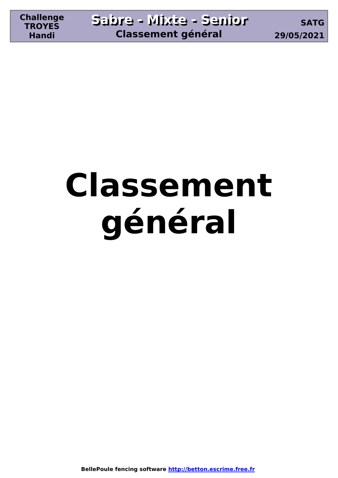## **Classement général**